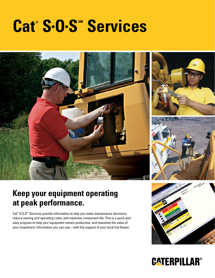# **Cat® S•O•S® Services**



### **Keep your equipment operating at peak performance.**

Cat® S.O.S<sup>®</sup> Services provide information to help you make maintenance decisions, reduce owning and operating costs, and maximize component life. This is a quick and easy program to help your equipment remain productive, and maximize the value of your investment. Information you can use—with the support of your local Cat Dealer.



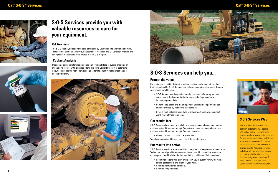





## **S. O. S Services provide you with valuable resources to care for your equipment.**

#### **Oil Analysis**

The S·O·S oil analysis tests have been developed by Caterpillar engineers and chemists. Tests such as Elemental Analysis, Oil Cleanliness Analysis, and Oil Condition Analysis are examples of the standard tests offered in the S·O·S program.

#### **Coolant Analysis**

Inadequate cooling system maintenance can eventually lead to system problems or even engine failure. S·O·S Services offer a two-level Coolant Program to determine if your coolant has the right chemical balance for maximum system protection and cooling efficiency.





### $Cat^@S·O·S<sup>sm</sup>$  Services



## **S·O·S Services can help you...**

### **Protect the value**

Cat equipment is built to deliver the highest possible performance throughout their production life. S·O·S Services can help you maintain performance through your equipment's life cycle.

- S·O·S Services are designed to identify problems before they become major repairs. Early detection is the key to reducing downtime and increasing productivity.
- Performance losses and major repairs of lubricated compartments can often be avoided by monitoring fluid samples.
- Overall, you'll get more work done at a lower cost and have equipment worth more at trade-in or sale.

With Cat S.O.S Services Web you can view and analyze fluid sample information on line – anywhere and anytime you have an internet connection. Sample results, evaluations, and history are available to the user. Oil, coolant, and fuel sample data are available in a single module. Additional features include an internal messaging system, actions taken fields, a label printing function, and graphic capabilities. For more information call your local Cat Dealer or visit www.cat.com/sos

### **Get results fast**

S·O·S Services allow you to test all oils and have results and recommendations available within 24 hours of receipt. Coolant results and recommendations are available within 72 hours of receipt. Receive results by:

• E-mail • Fax • Web • Postal Mail

You also can receive different reports for different alert levels.

#### **Put results into action**

S·O·S Services results are presented in a clear, concise, easy-to-understand report. Trained personnel provide recommendations or specific, immediate actions on each report. If a critical situation is identified, you will be notified immediately.

- Recommendations with alert levels allow you to quickly review the most critical components and prioritize your work.
- Optimize maintenance schedule.
- Optimize component life.

### **S. O. S Services Web**